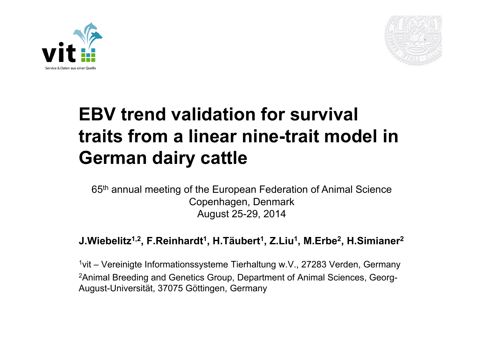



# **EBV trend validation for survival traits from a linear nine-trait model in German dairy cattle**

65th annual meeting of the European Federation of Animal Science Copenhagen, Denmark August 25-29, 2014

**J.Wiebelitz1,2, F.Reinhardt1, H.Täubert1, Z.Liu1, M.Erbe2, H.Simianer2**

1vit – Vereinigte Informationssysteme Tierhaltung w.V., 27283 Verden, Germany 2Animal Breeding and Genetics Group, Department of Animal Sciences, Georg-August-Universität, 37075 Göttingen, Germany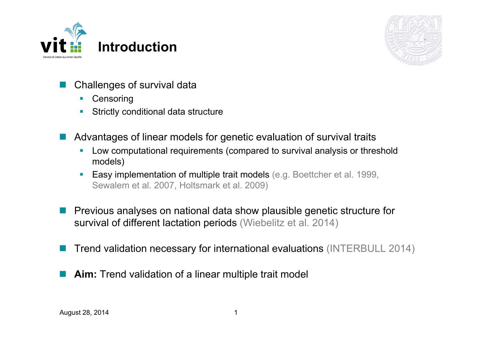



- T Challenges of survival data
	- **Censoring**
	- $\overline{\phantom{a}}$ Strictly conditional data structure
- T Advantages of linear models for genetic evaluation of survival traits
	- $\overline{\mathcal{L}}$  Low computational requirements (compared to survival analysis or threshold models)
	- $\mathcal{L}_{\mathcal{A}}$  Easy implementation of multiple trait models (e.g. Boettcher et al. 1999, Sewalem et al. 2007, Holtsmark et al. 2009)
- T Previous analyses on national data show plausible genetic structure for survival of different lactation periods (Wiebelitz et al. 2014)
- T Trend validation necessary for international evaluations (INTERBULL 2014)
- T **Aim:** Trend validation of a linear multiple trait model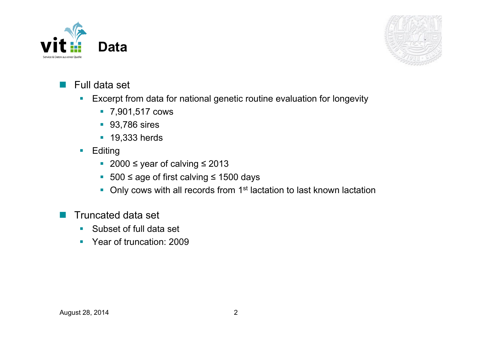



 $\mathcal{L}^{\mathcal{L}}$ Full data set

- $\blacksquare$  Excerpt from data for national genetic routine evaluation for longevity
	- 7,901,517 cows
	- 93,786 sires
	- **19,333 herds**
- **Editing** 
	- 2000 ≤ year of calving ≤ 2013
	- 500 ≤ age of first calving <sup>≤</sup> 1500 days
	- Only cows with all records from 1<sup>st</sup> lactation to last known lactation
- T Truncated data set
	- $\overline{\phantom{a}}$ Subset of full data set
	- **Parable 12009** Year of truncation: 2009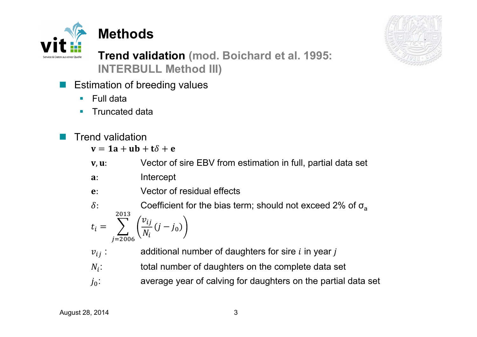

**Methods**

**Trend validation (mod. Boichard et al. 1995: INTERBULL Method III)**

- T Estimation of breeding values
	- $\overline{\phantom{a}}$ Full data
	- $\overline{\phantom{a}}$ Truncated data
- T Trend validation

 $v = 1a + uh + t\delta + e$ 

- v, u: Vector of sire EBV from estimation in full, partial data set
- a: Intercept

 $e$ : Vector of residual effects

 $\delta$ : Coefficient for the bias term; should not exceed 2% of  $\sigma_a$ 

$$
t_i = \sum_{j=2006}^{2013} \left( \frac{v_{ij}}{N_i} (j - j_0) \right)
$$

- $v_{ii}$ : additional number of daughters for sire  $i$  in year  $j$
- $N_i$ : total number of daughters on the complete data set
- $j_0$ : average year of calving for daughters on the partial data set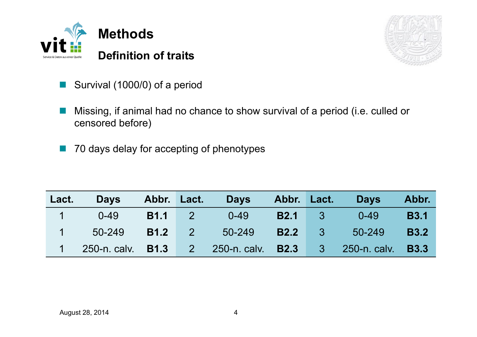



- $\mathcal{L}_{\mathcal{A}}$ Survival (1000/0) of a period
- T Missing, if animal had no chance to show survival of a period (i.e. culled or censored before)
- T 70 days delay for accepting of phenotypes

| Lact.       | <b>Days</b>              | Abbr. Lact. |                | <b>Days</b>                  | Abbr. Lact. |         | <b>Days</b>  | Abbr.        |
|-------------|--------------------------|-------------|----------------|------------------------------|-------------|---------|--------------|--------------|
| $\mathbf 1$ | $0 - 49$                 | <b>B1.1</b> | $\overline{2}$ | $0 - 49$                     | B2.1        | $-3$    | $0 - 49$     | <b>B3.1</b>  |
| $\mathbf 1$ | 50-249                   | <b>B1.2</b> | $\overline{2}$ | 50-249                       | <b>B2.2</b> | $3^{2}$ | 50-249       | <b>B3.2</b>  |
|             | 250-n. calv. <b>B1.3</b> |             |                | 2 250-n. calv. <b>B2.3</b> 3 |             |         | 250-n. calv. | <b>B</b> 3.3 |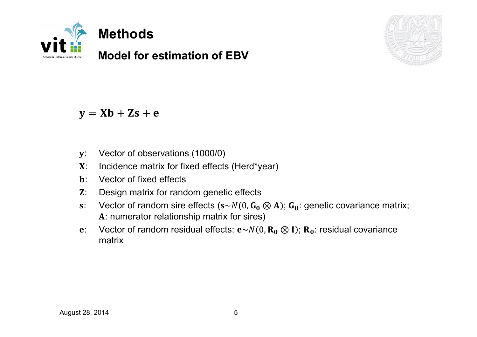



 $y = Xb + Zs + e$ 

- y: Vector of observations (1000/0)
- X: Incidence matrix for fixed effects (Herd\*year)
- ܊: Vector of fixed effects
- ܈: Design matrix for random genetic effects
- s: Vector of random sire effects ( $s \sim N(0, G_0 \otimes A)$ ;  $G_0$ : genetic covariance matrix; A: numerator relationship matrix for sires)
- e: Vector of random residual effects: e ${\sim}N(0,{\bf R_0}\otimes {\bf I})$ ;  ${\bf R_0}$ : residual covariance matrix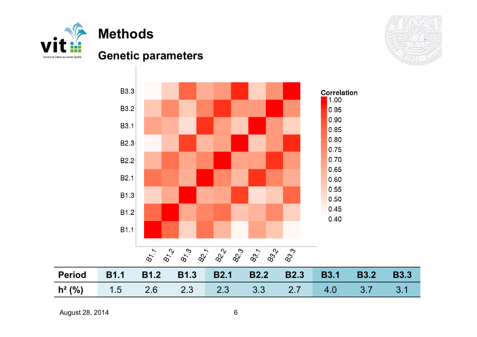

## **Genetic parameters**

**Methods**





August 28, 2014 **6**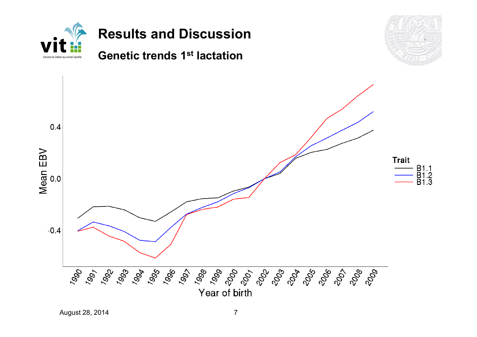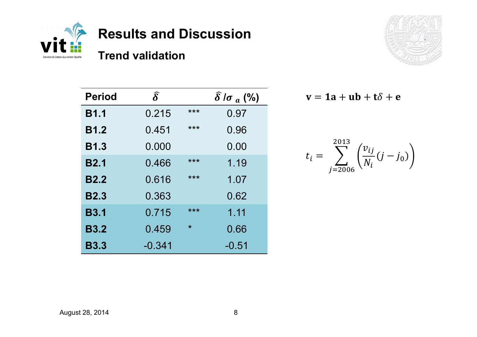



| <b>Period</b> | $\widehat{\delta}$ |         | $\hat{\delta}$ lo $_a$ (%) |
|---------------|--------------------|---------|----------------------------|
| <b>B1.1</b>   | 0.215              | ***     | 0.97                       |
| <b>B1.2</b>   | 0.451              | ***     | 0.96                       |
| <b>B1.3</b>   | 0.000              |         | 0.00                       |
| <b>B2.1</b>   | 0.466              | ***     | 1.19                       |
| <b>B2.2</b>   | 0.616              | ***     | 1.07                       |
| <b>B2.3</b>   | 0.363              |         | 0.62                       |
| <b>B3.1</b>   | 0.715              | ***     | 1.11                       |
| <b>B3.2</b>   | 0.459              | $\star$ | 0.66                       |
| <b>B3.3</b>   | $-0.341$           |         | $-0.51$                    |

 $v = 1a + ub + t\delta + e$ 

 $t_i = \sum_{i} \left( \frac{v_{ij}}{N_i} \right)$  $\frac{y}{N_i}$   $(j - j)$  $_0)$ 2013  $j=2006$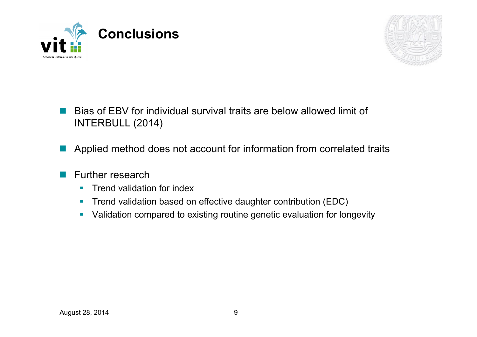



- T Bias of EBV for individual survival traits are below allowed limit of INTERBULL (2014)
- T Applied method does not account for information from correlated traits

#### $\mathcal{L}(\mathcal{A})$ Further research

- $\overline{\phantom{a}}$ Trend validation for index
- $\overline{\phantom{a}}$ Trend validation based on effective daughter contribution (EDC)
- $\overline{\phantom{a}}$ Validation compared to existing routine genetic evaluation for longevity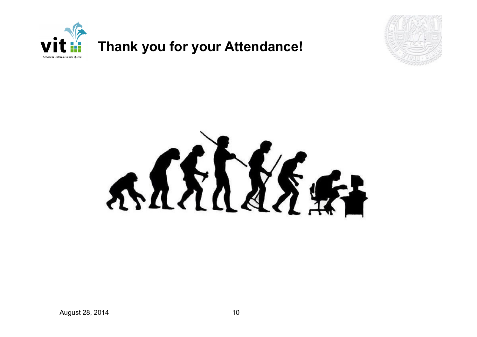



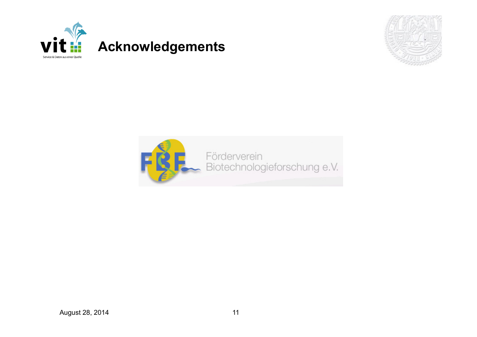



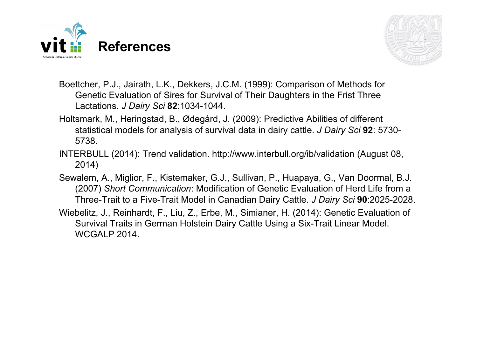



- Boettcher, P.J., Jairath, L.K., Dekkers, J.C.M. (1999): Comparison of Methods for Genetic Evaluation of Sires for Survival of Their Daughters in the Frist Three Lactations. *J Dairy Sci* **82**:1034-1044.
- Holtsmark, M., Heringstad, B., Ødegård, J. (2009): Predictive Abilities of different statistical models for analysis of survival data in dairy cattle. *J Dairy Sci* **92**: 5730- 5738.
- INTERBULL (2014): Trend validation. http://www.interbull.org/ib/validation (August 08, 2014)
- Sewalem, A., Miglior, F., Kistemaker, G.J., Sullivan, P., Huapaya, G., Van Doormal, B.J. (2007) *Short Communication*: Modification of Genetic Evaluation of Herd Life from a Three-Trait to a Five-Trait Model in Canadian Dairy Cattle. *J Dairy Sci* **90**:2025-2028.
- Wiebelitz, J., Reinhardt, F., Liu, Z., Erbe, M., Simianer, H. (2014): Genetic Evaluation of Survival Traits in German Holstein Dairy Cattle Using a Six-Trait Linear Model. WCGALP 2014.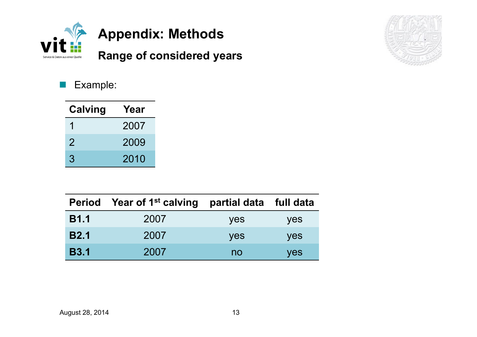



#### $\mathcal{L}_{\mathcal{A}}$ Example:

| <b>Calving</b> | Year |
|----------------|------|
|                | 2007 |
| $\mathcal{P}$  | 2009 |
| 3              | 2010 |

|             | Period Year of 1 <sup>st</sup> calving | partial data full data |     |
|-------------|----------------------------------------|------------------------|-----|
| <b>B1.1</b> | 2007                                   | yes                    | yes |
| <b>B2.1</b> | 2007                                   | yes                    | yes |
| <b>B3.1</b> | 2007                                   | no                     | yes |